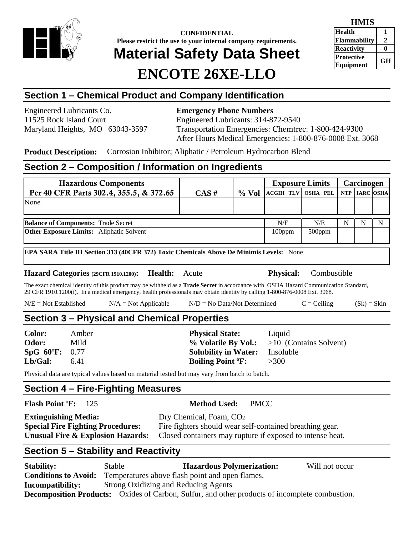

**CONFIDENTIAL Please restrict the use to your internal company requirements.** 

# **Material Safety Data Sheet**

## **ENCOTE 26XE-LLO**

| <b>HMIS</b>                    |    |
|--------------------------------|----|
| <b>Health</b>                  |    |
| <b>Flammability</b>            | 2  |
| <b>Reactivity</b>              |    |
| <b>Protective</b><br>Equipment | GН |

### **Section 1 – Chemical Product and Company Identification**

Engineered Lubricants Co. **Emergency Phone Numbers** 

11525 Rock Island Court Engineered Lubricants: 314-872-9540 Maryland Heights, MO 63043-3597 Transportation Emergencies: Chemtrec: 1-800-424-9300 After Hours Medical Emergencies: 1-800-876-0008 Ext. 3068

**Product Description:** Corrosion Inhibitor; Aliphatic / Petroleum Hydrocarbon Blend

#### **Section 2 – Composition / Information on Ingredients**

| <b>Hazardous Components</b>                      |                                                                                                                                                                                                                                                                           |                                                                                                                                                              |                                                                                                          |             | <b>Exposure Limits</b>      |                        | Carcinogen  |                  |             |
|--------------------------------------------------|---------------------------------------------------------------------------------------------------------------------------------------------------------------------------------------------------------------------------------------------------------------------------|--------------------------------------------------------------------------------------------------------------------------------------------------------------|----------------------------------------------------------------------------------------------------------|-------------|-----------------------------|------------------------|-------------|------------------|-------------|
|                                                  | Per 40 CFR Parts 302.4, 355.5, & 372.65                                                                                                                                                                                                                                   |                                                                                                                                                              | CAS#                                                                                                     | $%$ Vol     | <b>ACGIH TLV</b>            | <b>OSHA PEL</b>        | <b>NTP</b>  | <b>IARC OSHA</b> |             |
| None                                             |                                                                                                                                                                                                                                                                           |                                                                                                                                                              |                                                                                                          |             |                             |                        |             |                  |             |
|                                                  | <b>Balance of Components: Trade Secret</b>                                                                                                                                                                                                                                |                                                                                                                                                              |                                                                                                          |             | N/E                         | N/E                    | $\mathbf N$ | N                | $\mathbf N$ |
|                                                  | Other Exposure Limits: Aliphatic Solvent                                                                                                                                                                                                                                  |                                                                                                                                                              |                                                                                                          |             | 100ppm                      | 500ppm                 |             |                  |             |
|                                                  | EPA SARA Title III Section 313 (40CFR 372) Toxic Chemicals Above De Minimis Levels: None                                                                                                                                                                                  |                                                                                                                                                              |                                                                                                          |             |                             |                        |             |                  |             |
|                                                  | Hazard Categories (29CFR 1910.1200):                                                                                                                                                                                                                                      | <b>Health:</b>                                                                                                                                               | Acute                                                                                                    |             | <b>Physical:</b>            | Combustible            |             |                  |             |
|                                                  | The exact chemical identity of this product may be withheld as a <b>Trade Secret</b> in accordance with OSHA Hazard Communication Standard,<br>29 CFR 1910.1200(i). In a medical emergency, health professionals may obtain identity by calling 1-800-876-0008 Ext. 3068. |                                                                                                                                                              |                                                                                                          |             |                             |                        |             |                  |             |
| $N/E = Not Established$                          | $N/A = Not Applicable$                                                                                                                                                                                                                                                    |                                                                                                                                                              | $N/D = No Data/Not Determine$                                                                            |             |                             | $C = Ceiling$          |             | $(Sk) = Skin$    |             |
|                                                  | Section 3 – Physical and Chemical Properties                                                                                                                                                                                                                              |                                                                                                                                                              |                                                                                                          |             |                             |                        |             |                  |             |
| <b>Color:</b><br>Odor:<br>$SpG$ 60°F:<br>Lb/Gal: | Amber<br>Mild<br>0.77<br>6.41                                                                                                                                                                                                                                             |                                                                                                                                                              | <b>Physical State:</b><br>% Volatile By Vol.:<br><b>Solubility in Water:</b><br><b>Boiling Point °F:</b> |             | Liquid<br>Insoluble<br>>300 | >10 (Contains Solvent) |             |                  |             |
|                                                  | Physical data are typical values based on material tested but may vary from batch to batch.                                                                                                                                                                               |                                                                                                                                                              |                                                                                                          |             |                             |                        |             |                  |             |
|                                                  | Section 4 – Fire-Fighting Measures                                                                                                                                                                                                                                        |                                                                                                                                                              |                                                                                                          |             |                             |                        |             |                  |             |
| <b>Flash Point °F:</b>                           | 125                                                                                                                                                                                                                                                                       |                                                                                                                                                              | <b>Method Used:</b>                                                                                      | <b>PMCC</b> |                             |                        |             |                  |             |
| <b>Extinguishing Media:</b>                      | <b>Special Fire Fighting Procedures:</b><br><b>Unusual Fire &amp; Explosion Hazards:</b>                                                                                                                                                                                  | Dry Chemical, Foam, CO <sub>2</sub><br>Fire fighters should wear self-contained breathing gear.<br>Closed containers may rupture if exposed to intense heat. |                                                                                                          |             |                             |                        |             |                  |             |
|                                                  | Section 5 – Stability and Reactivity                                                                                                                                                                                                                                      |                                                                                                                                                              |                                                                                                          |             |                             |                        |             |                  |             |
| <b>Stability:</b>                                | Stable<br>Conditions to Avoid: Temperatures above flesh point and enon flames                                                                                                                                                                                             |                                                                                                                                                              | <b>Hazardous Polymerization:</b>                                                                         |             |                             | Will not occur         |             |                  |             |

**Conditions to Avoid:** Temperatures above flash point and open flames. **Incompatibility:** Strong Oxidizing and Reducing Agents **Decomposition Products:** Oxides of Carbon, Sulfur, and other products of incomplete combustion.